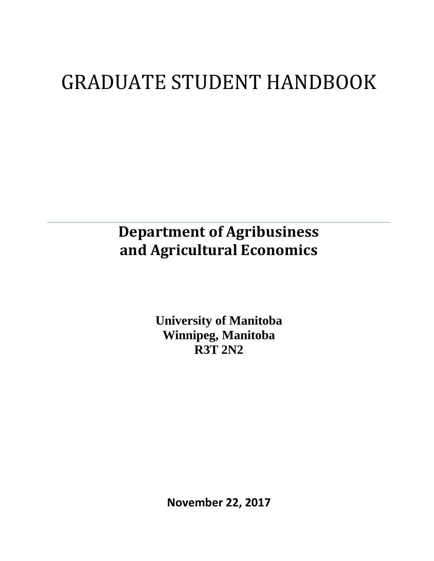# GRADUATE STUDENT HANDBOOK

## **Department of Agribusiness and Agricultural Economics**

**University of Manitoba Winnipeg, Manitoba R3T 2N2**

**November 22, 2017**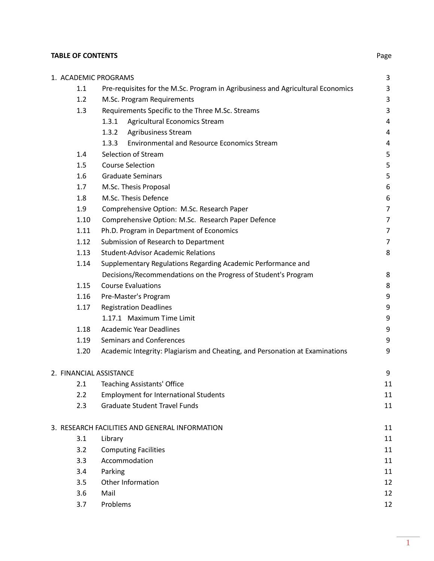## **TABLE OF CONTENTS** Page

|      | 1. ACADEMIC PROGRAMS                                                            | 3              |
|------|---------------------------------------------------------------------------------|----------------|
| 1.1  | Pre-requisites for the M.Sc. Program in Agribusiness and Agricultural Economics | 3              |
| 1.2  | M.Sc. Program Requirements                                                      | 3              |
| 1.3  | Requirements Specific to the Three M.Sc. Streams                                | 3              |
|      | Agricultural Economics Stream<br>1.3.1                                          | 4              |
|      | <b>Agribusiness Stream</b><br>1.3.2                                             | $\overline{4}$ |
|      | <b>Environmental and Resource Economics Stream</b><br>1.3.3                     | $\overline{a}$ |
| 1.4  | Selection of Stream                                                             | 5              |
| 1.5  | <b>Course Selection</b>                                                         | 5              |
| 1.6  | <b>Graduate Seminars</b>                                                        | 5              |
| 1.7  | M.Sc. Thesis Proposal                                                           | 6              |
| 1.8  | M.Sc. Thesis Defence                                                            | 6              |
| 1.9  | Comprehensive Option: M.Sc. Research Paper                                      | $\overline{7}$ |
| 1.10 | Comprehensive Option: M.Sc. Research Paper Defence                              | $\overline{7}$ |
| 1.11 | Ph.D. Program in Department of Economics                                        | $\overline{7}$ |
| 1.12 | Submission of Research to Department                                            | $\overline{7}$ |
| 1.13 | <b>Student-Advisor Academic Relations</b>                                       | 8              |
| 1.14 | Supplementary Regulations Regarding Academic Performance and                    |                |
|      | Decisions/Recommendations on the Progress of Student's Program                  | 8              |
| 1.15 | <b>Course Evaluations</b>                                                       | 8              |
| 1.16 | Pre-Master's Program                                                            | 9              |
| 1.17 | <b>Registration Deadlines</b>                                                   | 9              |
|      | 1.17.1 Maximum Time Limit                                                       | 9              |
| 1.18 | <b>Academic Year Deadlines</b>                                                  | 9              |
| 1.19 | <b>Seminars and Conferences</b>                                                 | 9              |
| 1.20 | Academic Integrity: Plagiarism and Cheating, and Personation at Examinations    | 9              |
|      | 2. FINANCIAL ASSISTANCE                                                         | 9              |
| 2.1  | <b>Teaching Assistants' Office</b>                                              | 11             |
| 2.2  | <b>Employment for International Students</b>                                    | 11             |
| 2.3  | <b>Graduate Student Travel Funds</b>                                            | 11             |
|      | 3. RESEARCH FACILITIES AND GENERAL INFORMATION                                  | 11             |
| 3.1  | Library                                                                         | 11             |
| 3.2  | <b>Computing Facilities</b>                                                     | 11             |
| 3.3  | Accommodation                                                                   | 11             |
| 3.4  | Parking                                                                         | 11             |
| 3.5  | Other Information                                                               | 12             |
| 3.6  | Mail                                                                            | 12             |
| 3.7  | Problems                                                                        | 12             |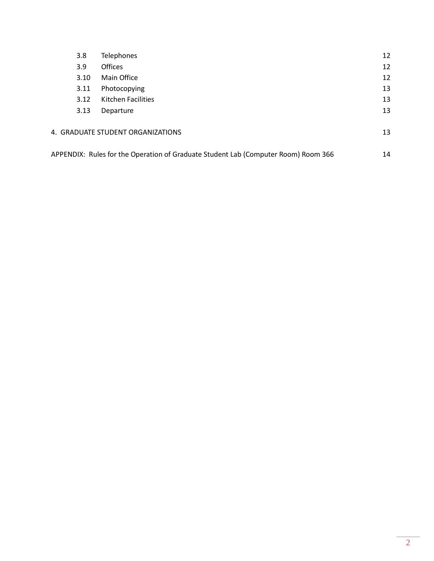| 3.8  | <b>Telephones</b>                                                                  | 12 |
|------|------------------------------------------------------------------------------------|----|
| 3.9  | <b>Offices</b>                                                                     | 12 |
| 3.10 | Main Office                                                                        | 12 |
| 3.11 | Photocopying                                                                       | 13 |
| 3.12 | Kitchen Facilities                                                                 | 13 |
| 3.13 | Departure                                                                          | 13 |
|      | 4. GRADUATE STUDENT ORGANIZATIONS                                                  | 13 |
|      | APPENDIX: Rules for the Operation of Graduate Student Lab (Computer Room) Room 366 | 14 |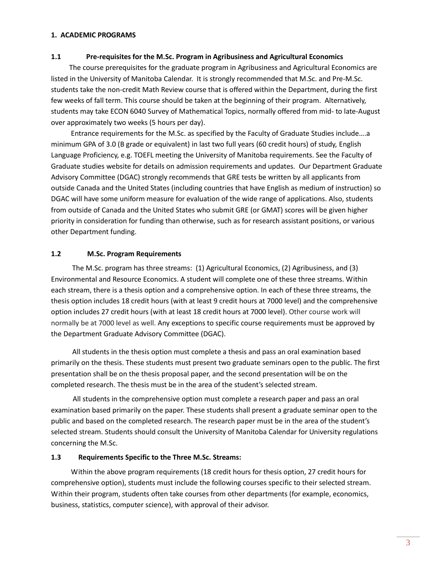#### **1. ACADEMIC PROGRAMS**

#### **1.1 Pre-requisites for the M.Sc. Program in Agribusiness and Agricultural Economics**

The course prerequisites for the graduate program in Agribusiness and Agricultural Economics are listed in the University of Manitoba Calendar. It is strongly recommended that M.Sc. and Pre-M.Sc. students take the non-credit Math Review course that is offered within the Department, during the first few weeks of fall term. This course should be taken at the beginning of their program. Alternatively, students may take ECON 6040 Survey of Mathematical Topics, normally offered from mid- to late-August over approximately two weeks (5 hours per day).

Entrance requirements for the M.Sc. as specified by the Faculty of Graduate Studies include….a minimum GPA of 3.0 (B grade or equivalent) in last two full years (60 credit hours) of study, English Language Proficiency, e.g. TOEFL meeting the University of Manitoba requirements. See the Faculty of Graduate studies website for details on admission requirements and updates. Our Department Graduate Advisory Committee (DGAC) strongly recommends that GRE tests be written by all applicants from outside Canada and the United States (including countries that have English as medium of instruction) so DGAC will have some uniform measure for evaluation of the wide range of applications. Also, students from outside of Canada and the United States who submit GRE (or GMAT) scores will be given higher priority in consideration for funding than otherwise, such as for research assistant positions, or various other Department funding.

#### **1.2 M.Sc. Program Requirements**

 The M.Sc. program has three streams: (1) Agricultural Economics, (2) Agribusiness, and (3) Environmental and Resource Economics. A student will complete one of these three streams. Within each stream, there is a thesis option and a comprehensive option. In each of these three streams, the thesis option includes 18 credit hours (with at least 9 credit hours at 7000 level) and the comprehensive option includes 27 credit hours (with at least 18 credit hours at 7000 level). Other course work will normally be at 7000 level as well. Any exceptions to specific course requirements must be approved by the Department Graduate Advisory Committee (DGAC).

 All students in the thesis option must complete a thesis and pass an oral examination based primarily on the thesis. These students must present two graduate seminars open to the public. The first presentation shall be on the thesis proposal paper, and the second presentation will be on the completed research. The thesis must be in the area of the student's selected stream.

 All students in the comprehensive option must complete a research paper and pass an oral examination based primarily on the paper. These students shall present a graduate seminar open to the public and based on the completed research. The research paper must be in the area of the student's selected stream. Students should consult the University of Manitoba Calendar for University regulations concerning the M.Sc.

#### **1.3 Requirements Specific to the Three M.Sc. Streams:**

Within the above program requirements (18 credit hours for thesis option, 27 credit hours for comprehensive option), students must include the following courses specific to their selected stream. Within their program, students often take courses from other departments (for example, economics, business, statistics, computer science), with approval of their advisor.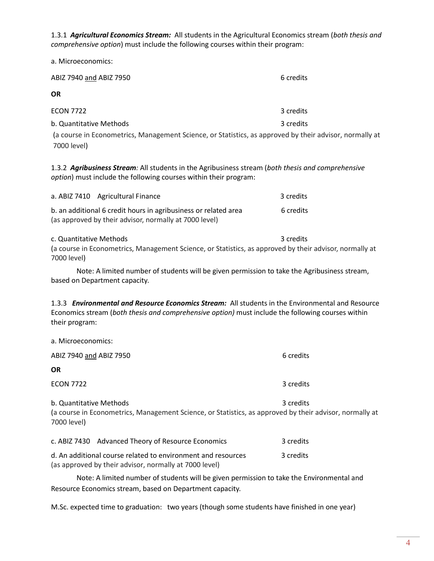1.3.1 *Agricultural Economics Stream:* All students in the Agricultural Economics stream (*both thesis and comprehensive option*) must include the following courses within their program:

a. Microeconomics:

| ABIZ 7940 and ABIZ 7950                                                                                 | 6 credits |  |  |  |
|---------------------------------------------------------------------------------------------------------|-----------|--|--|--|
| <b>OR</b>                                                                                               |           |  |  |  |
| <b>ECON 7722</b>                                                                                        | 3 credits |  |  |  |
| b. Quantitative Methods                                                                                 | 3 credits |  |  |  |
| (a course in Econometrics, Management Science, or Statistics, as approved by their advisor, normally at |           |  |  |  |
| 7000 level)                                                                                             |           |  |  |  |

1.3.2 *Agribusiness Stream:* All students in the Agribusiness stream (*both thesis and comprehensive option*) must include the following courses within their program:

| a. ABIZ 7410 Agricultural Finance                               | 3 credits |
|-----------------------------------------------------------------|-----------|
| b. an additional 6 credit hours in agribusiness or related area | 6 credits |
| (as approved by their advisor, normally at 7000 level)          |           |

#### c. Quantitative Methods **3** credits 3 credits

(a course in Econometrics, Management Science, or Statistics, as approved by their advisor, normally at 7000 level)

Note: A limited number of students will be given permission to take the Agribusiness stream, based on Department capacity.

1.3.3*Environmental and Resource Economics Stream:* All students in the Environmental and Resource Economics stream (*both thesis and comprehensive option)* must include the following courses within their program:

| a. Microeconomics:                                                                                                                                             |           |  |  |  |
|----------------------------------------------------------------------------------------------------------------------------------------------------------------|-----------|--|--|--|
| ABIZ 7940 and ABIZ 7950                                                                                                                                        | 6 credits |  |  |  |
| <b>OR</b>                                                                                                                                                      |           |  |  |  |
| <b>ECON 7722</b>                                                                                                                                               | 3 credits |  |  |  |
| 3 credits<br>b. Quantitative Methods<br>(a course in Econometrics, Management Science, or Statistics, as approved by their advisor, normally at<br>7000 level) |           |  |  |  |
| c. ABIZ 7430 Advanced Theory of Resource Economics                                                                                                             | 3 credits |  |  |  |
| d. An additional course related to environment and resources<br>(as approved by their advisor, normally at 7000 level)                                         | 3 credits |  |  |  |

Note: A limited number of students will be given permission to take the Environmental and Resource Economics stream, based on Department capacity.

M.Sc. expected time to graduation: two years (though some students have finished in one year)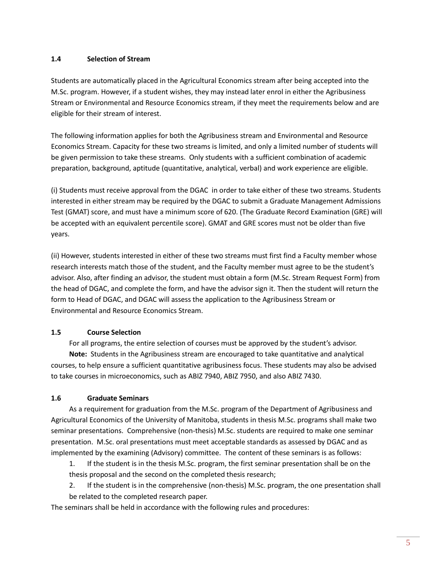#### **1.4 Selection of Stream**

Students are automatically placed in the Agricultural Economics stream after being accepted into the M.Sc. program. However, if a student wishes, they may instead later enrol in either the Agribusiness Stream or Environmental and Resource Economics stream, if they meet the requirements below and are eligible for their stream of interest.

The following information applies for both the Agribusiness stream and Environmental and Resource Economics Stream. Capacity for these two streams is limited, and only a limited number of students will be given permission to take these streams. Only students with a sufficient combination of academic preparation, background, aptitude (quantitative, analytical, verbal) and work experience are eligible.

(i) Students must receive approval from the DGAC in order to take either of these two streams. Students interested in either stream may be required by the DGAC to submit a Graduate Management Admissions Test (GMAT) score, and must have a minimum score of 620. (The Graduate Record Examination (GRE) will be accepted with an equivalent percentile score). GMAT and GRE scores must not be older than five years.

(ii) However, students interested in either of these two streams must first find a Faculty member whose research interests match those of the student, and the Faculty member must agree to be the student's advisor. Also, after finding an advisor, the student must obtain a form (M.Sc. Stream Request Form) from the head of DGAC, and complete the form, and have the advisor sign it. Then the student will return the form to Head of DGAC, and DGAC will assess the application to the Agribusiness Stream or Environmental and Resource Economics Stream.

#### **1.5 Course Selection**

For all programs, the entire selection of courses must be approved by the student's advisor. **Note:** Students in the Agribusiness stream are encouraged to take quantitative and analytical courses, to help ensure a sufficient quantitative agribusiness focus. These students may also be advised to take courses in microeconomics, such as ABIZ 7940, ABIZ 7950, and also ABIZ 7430.

#### **1.6 Graduate Seminars**

As a requirement for graduation from the M.Sc. program of the Department of Agribusiness and Agricultural Economics of the University of Manitoba, students in thesis M.Sc. programs shall make two seminar presentations. Comprehensive (non-thesis) M.Sc. students are required to make one seminar presentation. M.Sc. oral presentations must meet acceptable standards as assessed by DGAC and as implemented by the examining (Advisory) committee. The content of these seminars is as follows:

1. If the student is in the thesis M.Sc. program, the first seminar presentation shall be on the thesis proposal and the second on the completed thesis research;

2. If the student is in the comprehensive (non-thesis) M.Sc. program, the one presentation shall be related to the completed research paper.

The seminars shall be held in accordance with the following rules and procedures: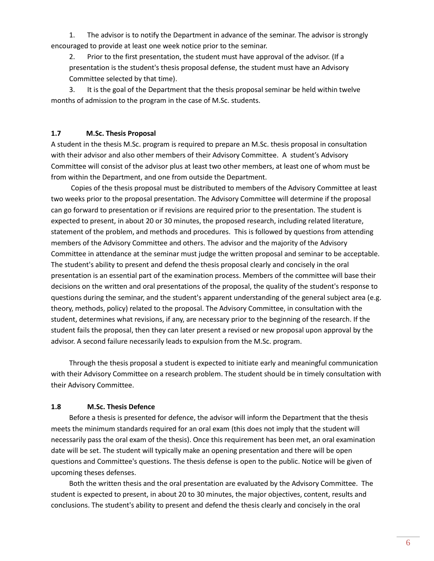1. The advisor is to notify the Department in advance of the seminar. The advisor is strongly encouraged to provide at least one week notice prior to the seminar.

2. Prior to the first presentation, the student must have approval of the advisor. (If a presentation is the student's thesis proposal defense, the student must have an Advisory Committee selected by that time).

3. It is the goal of the Department that the thesis proposal seminar be held within twelve months of admission to the program in the case of M.Sc. students.

#### **1.7 M.Sc. Thesis Proposal**

A student in the thesis M.Sc. program is required to prepare an M.Sc. thesis proposal in consultation with their advisor and also other members of their Advisory Committee. A student's Advisory Committee will consist of the advisor plus at least two other members, at least one of whom must be from within the Department, and one from outside the Department.

Copies of the thesis proposal must be distributed to members of the Advisory Committee at least two weeks prior to the proposal presentation. The Advisory Committee will determine if the proposal can go forward to presentation or if revisions are required prior to the presentation. The student is expected to present, in about 20 or 30 minutes, the proposed research, including related literature, statement of the problem, and methods and procedures. This is followed by questions from attending members of the Advisory Committee and others. The advisor and the majority of the Advisory Committee in attendance at the seminar must judge the written proposal and seminar to be acceptable. The student's ability to present and defend the thesis proposal clearly and concisely in the oral presentation is an essential part of the examination process. Members of the committee will base their decisions on the written and oral presentations of the proposal, the quality of the student's response to questions during the seminar, and the student's apparent understanding of the general subject area (e.g. theory, methods, policy) related to the proposal. The Advisory Committee, in consultation with the student, determines what revisions, if any, are necessary prior to the beginning of the research. If the student fails the proposal, then they can later present a revised or new proposal upon approval by the advisor. A second failure necessarily leads to expulsion from the M.Sc. program.

Through the thesis proposal a student is expected to initiate early and meaningful communication with their Advisory Committee on a research problem. The student should be in timely consultation with their Advisory Committee.

#### **1.8 M.Sc. Thesis Defence**

Before a thesis is presented for defence, the advisor will inform the Department that the thesis meets the minimum standards required for an oral exam (this does not imply that the student will necessarily pass the oral exam of the thesis). Once this requirement has been met, an oral examination date will be set. The student will typically make an opening presentation and there will be open questions and Committee's questions. The thesis defense is open to the public. Notice will be given of upcoming theses defenses.

Both the written thesis and the oral presentation are evaluated by the Advisory Committee. The student is expected to present, in about 20 to 30 minutes, the major objectives, content, results and conclusions. The student's ability to present and defend the thesis clearly and concisely in the oral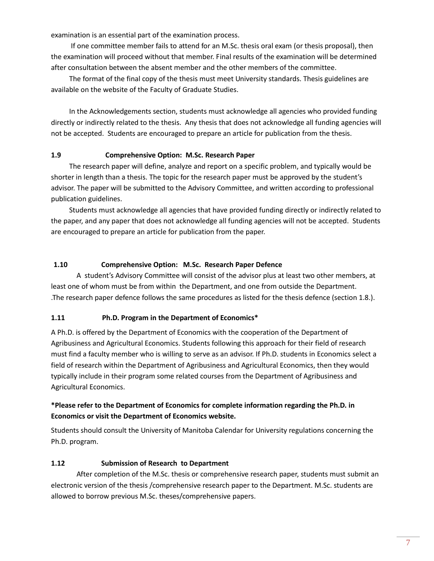examination is an essential part of the examination process.

If one committee member fails to attend for an M.Sc. thesis oral exam (or thesis proposal), then the examination will proceed without that member. Final results of the examination will be determined after consultation between the absent member and the other members of the committee.

The format of the final copy of the thesis must meet University standards. Thesis guidelines are available on the website of the Faculty of Graduate Studies.

In the Acknowledgements section, students must acknowledge all agencies who provided funding directly or indirectly related to the thesis. Any thesis that does not acknowledge all funding agencies will not be accepted. Students are encouraged to prepare an article for publication from the thesis.

#### **1.9 Comprehensive Option: M.Sc. Research Paper**

The research paper will define, analyze and report on a specific problem, and typically would be shorter in length than a thesis. The topic for the research paper must be approved by the student's advisor. The paper will be submitted to the Advisory Committee, and written according to professional publication guidelines.

Students must acknowledge all agencies that have provided funding directly or indirectly related to the paper, and any paper that does not acknowledge all funding agencies will not be accepted. Students are encouraged to prepare an article for publication from the paper.

#### **1.10 Comprehensive Option: M.Sc. Research Paper Defence**

A student's Advisory Committee will consist of the advisor plus at least two other members, at least one of whom must be from within the Department, and one from outside the Department. .The research paper defence follows the same procedures as listed for the thesis defence (section 1.8.).

#### **1.11 Ph.D. Program in the Department of Economics\***

A Ph.D. is offered by the Department of Economics with the cooperation of the Department of Agribusiness and Agricultural Economics. Students following this approach for their field of research must find a faculty member who is willing to serve as an advisor. If Ph.D. students in Economics select a field of research within the Department of Agribusiness and Agricultural Economics, then they would typically include in their program some related courses from the Department of Agribusiness and Agricultural Economics.

### **\*Please refer to the Department of Economics for complete information regarding the Ph.D. in Economics or visit the Department of Economics website.**

Students should consult the University of Manitoba Calendar for University regulations concerning the Ph.D. program.

#### **1.12 Submission of Research to Department**

After completion of the M.Sc. thesis or comprehensive research paper, students must submit an electronic version of the thesis /comprehensive research paper to the Department. M.Sc. students are allowed to borrow previous M.Sc. theses/comprehensive papers.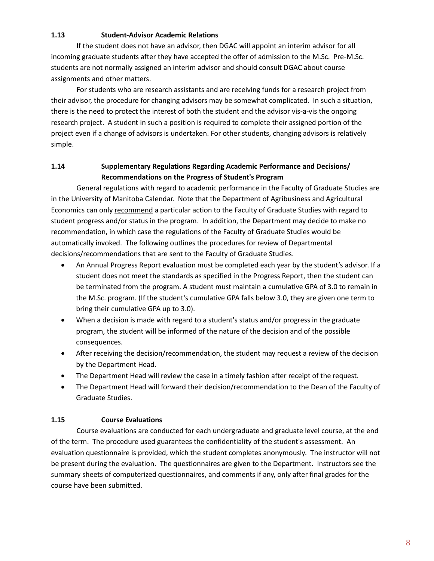#### **1.13 Student-Advisor Academic Relations**

If the student does not have an advisor, then DGAC will appoint an interim advisor for all incoming graduate students after they have accepted the offer of admission to the M.Sc. Pre-M.Sc. students are not normally assigned an interim advisor and should consult DGAC about course assignments and other matters.

For students who are research assistants and are receiving funds for a research project from their advisor, the procedure for changing advisors may be somewhat complicated. In such a situation, there is the need to protect the interest of both the student and the advisor vis-a-vis the ongoing research project. A student in such a position is required to complete their assigned portion of the project even if a change of advisors is undertaken. For other students, changing advisors is relatively simple.

#### **1.14 Supplementary Regulations Regarding Academic Performance and Decisions/ Recommendations on the Progress of Student's Program**

General regulations with regard to academic performance in the Faculty of Graduate Studies are in the University of Manitoba Calendar. Note that the Department of Agribusiness and Agricultural Economics can only recommend a particular action to the Faculty of Graduate Studies with regard to student progress and/or status in the program. In addition, the Department may decide to make no recommendation, in which case the regulations of the Faculty of Graduate Studies would be automatically invoked. The following outlines the procedures for review of Departmental decisions/recommendations that are sent to the Faculty of Graduate Studies.

- An Annual Progress Report evaluation must be completed each year by the student's advisor. If a student does not meet the standards as specified in the Progress Report, then the student can be terminated from the program. A student must maintain a cumulative GPA of 3.0 to remain in the M.Sc. program. (If the student's cumulative GPA falls below 3.0, they are given one term to bring their cumulative GPA up to 3.0).
- When a decision is made with regard to a student's status and/or progress in the graduate program, the student will be informed of the nature of the decision and of the possible consequences.
- After receiving the decision/recommendation, the student may request a review of the decision by the Department Head.
- The Department Head will review the case in a timely fashion after receipt of the request.
- The Department Head will forward their decision/recommendation to the Dean of the Faculty of Graduate Studies.

#### **1.15 Course Evaluations**

Course evaluations are conducted for each undergraduate and graduate level course, at the end of the term. The procedure used guarantees the confidentiality of the student's assessment. An evaluation questionnaire is provided, which the student completes anonymously. The instructor will not be present during the evaluation. The questionnaires are given to the Department. Instructors see the summary sheets of computerized questionnaires, and comments if any, only after final grades for the course have been submitted.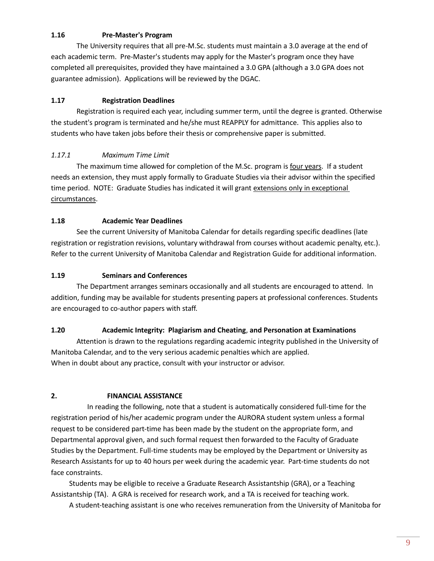#### **1.16 Pre-Master's Program**

The University requires that all pre-M.Sc. students must maintain a 3.0 average at the end of each academic term. Pre-Master's students may apply for the Master's program once they have completed all prerequisites, provided they have maintained a 3.0 GPA (although a 3.0 GPA does not guarantee admission). Applications will be reviewed by the DGAC.

#### **1.17 Registration Deadlines**

Registration is required each year, including summer term, until the degree is granted. Otherwise the student's program is terminated and he/she must REAPPLY for admittance. This applies also to students who have taken jobs before their thesis or comprehensive paper is submitted.

#### *1.17.1 Maximum Time Limit*

The maximum time allowed for completion of the M.Sc. program is four years. If a student needs an extension, they must apply formally to Graduate Studies via their advisor within the specified time period. NOTE: Graduate Studies has indicated it will grant extensions only in exceptional circumstances.

#### **1.18 Academic Year Deadlines**

See the current University of Manitoba Calendar for details regarding specific deadlines (late registration or registration revisions, voluntary withdrawal from courses without academic penalty, etc.). Refer to the current University of Manitoba Calendar and Registration Guide for additional information.

#### **1.19 Seminars and Conferences**

The Department arranges seminars occasionally and all students are encouraged to attend. In addition, funding may be available for students presenting papers at professional conferences. Students are encouraged to co-author papers with staff.

#### **1.20 Academic Integrity: Plagiarism and Cheating**, **and Personation at Examinations**

Attention is drawn to the regulations regarding academic integrity published in the University of Manitoba Calendar, and to the very serious academic penalties which are applied. When in doubt about any practice, consult with your instructor or advisor.

#### **2. FINANCIAL ASSISTANCE**

In reading the following, note that a student is automatically considered full-time for the registration period of his/her academic program under the AURORA student system unless a formal request to be considered part-time has been made by the student on the appropriate form, and Departmental approval given, and such formal request then forwarded to the Faculty of Graduate Studies by the Department. Full-time students may be employed by the Department or University as Research Assistants for up to 40 hours per week during the academic year. Part-time students do not face constraints.

Students may be eligible to receive a Graduate Research Assistantship (GRA), or a Teaching Assistantship (TA). A GRA is received for research work, and a TA is received for teaching work.

A student-teaching assistant is one who receives remuneration from the University of Manitoba for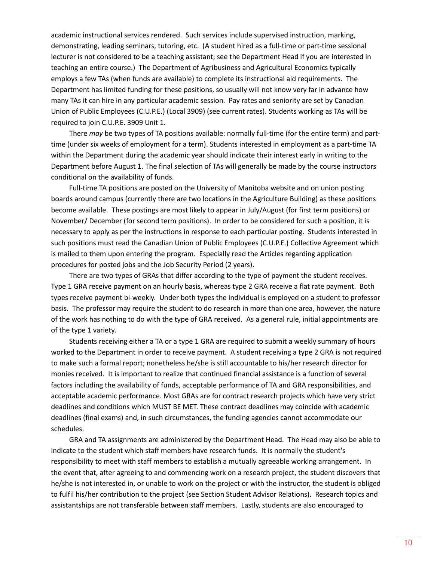academic instructional services rendered. Such services include supervised instruction, marking, demonstrating, leading seminars, tutoring, etc. (A student hired as a full-time or part-time sessional lecturer is not considered to be a teaching assistant; see the Department Head if you are interested in teaching an entire course.) The Department of Agribusiness and Agricultural Economics typically employs a few TAs (when funds are available) to complete its instructional aid requirements. The Department has limited funding for these positions, so usually will not know very far in advance how many TAs it can hire in any particular academic session. Pay rates and seniority are set by Canadian Union of Public Employees (C.U.P.E.) (Local 3909) (see current rates). Students working as TAs will be required to join C.U.P.E. 3909 Unit 1.

There *may* be two types of TA positions available: normally full-time (for the entire term) and parttime (under six weeks of employment for a term). Students interested in employment as a part-time TA within the Department during the academic year should indicate their interest early in writing to the Department before August 1. The final selection of TAs will generally be made by the course instructors conditional on the availability of funds.

Full-time TA positions are posted on the University of Manitoba website and on union posting boards around campus (currently there are two locations in the Agriculture Building) as these positions become available. These postings are most likely to appear in July/August (for first term positions) or November/ December (for second term positions). In order to be considered for such a position, it is necessary to apply as per the instructions in response to each particular posting. Students interested in such positions must read the Canadian Union of Public Employees (C.U.P.E.) Collective Agreement which is mailed to them upon entering the program. Especially read the Articles regarding application procedures for posted jobs and the Job Security Period (2 years).

There are two types of GRAs that differ according to the type of payment the student receives. Type 1 GRA receive payment on an hourly basis, whereas type 2 GRA receive a flat rate payment. Both types receive payment bi-weekly. Under both types the individual is employed on a student to professor basis. The professor may require the student to do research in more than one area, however, the nature of the work has nothing to do with the type of GRA received. As a general rule, initial appointments are of the type 1 variety.

Students receiving either a TA or a type 1 GRA are required to submit a weekly summary of hours worked to the Department in order to receive payment. A student receiving a type 2 GRA is not required to make such a formal report; nonetheless he/she is still accountable to his/her research director for monies received. It is important to realize that continued financial assistance is a function of several factors including the availability of funds, acceptable performance of TA and GRA responsibilities, and acceptable academic performance. Most GRAs are for contract research projects which have very strict deadlines and conditions which MUST BE MET. These contract deadlines may coincide with academic deadlines (final exams) and, in such circumstances, the funding agencies cannot accommodate our schedules.

GRA and TA assignments are administered by the Department Head. The Head may also be able to indicate to the student which staff members have research funds. It is normally the student's responsibility to meet with staff members to establish a mutually agreeable working arrangement. In the event that, after agreeing to and commencing work on a research project, the student discovers that he/she is not interested in, or unable to work on the project or with the instructor, the student is obliged to fulfil his/her contribution to the project (see Section Student Advisor Relations). Research topics and assistantships are not transferable between staff members. Lastly, students are also encouraged to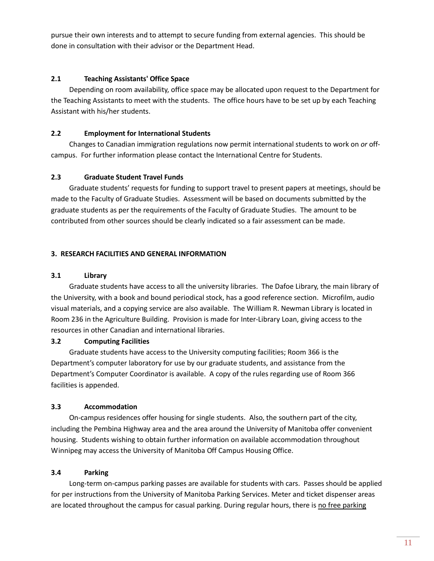pursue their own interests and to attempt to secure funding from external agencies. This should be done in consultation with their advisor or the Department Head.

#### **2.1 Teaching Assistants' Office Space**

Depending on room availability, office space may be allocated upon request to the Department for the Teaching Assistants to meet with the students. The office hours have to be set up by each Teaching Assistant with his/her students.

#### **2.2 Employment for International Students**

Changes to Canadian immigration regulations now permit international students to work on *or* offcampus. For further information please contact the International Centre for Students.

#### **2.3 Graduate Student Travel Funds**

Graduate students' requests for funding to support travel to present papers at meetings, should be made to the Faculty of Graduate Studies. Assessment will be based on documents submitted by the graduate students as per the requirements of the Faculty of Graduate Studies. The amount to be contributed from other sources should be clearly indicated so a fair assessment can be made.

#### **3. RESEARCH FACILITIES AND GENERAL INFORMATION**

#### **3.1 Library**

Graduate students have access to all the university libraries. The Dafoe Library, the main library of the University, with a book and bound periodical stock, has a good reference section. Microfilm, audio visual materials, and a copying service are also available. The William R. Newman Library is located in Room 236 in the Agriculture Building. Provision is made for Inter-Library Loan, giving access to the resources in other Canadian and international libraries.

#### **3.2 Computing Facilities**

Graduate students have access to the University computing facilities; Room 366 is the Department's computer laboratory for use by our graduate students, and assistance from the Department's Computer Coordinator is available. A copy of the rules regarding use of Room 366 facilities is appended.

#### **3.3 Accommodation**

On-campus residences offer housing for single students. Also, the southern part of the city, including the Pembina Highway area and the area around the University of Manitoba offer convenient housing. Students wishing to obtain further information on available accommodation throughout Winnipeg may access the University of Manitoba Off Campus Housing Office.

#### **3.4 Parking**

Long-term on-campus parking passes are available for students with cars. Passes should be applied for per instructions from the University of Manitoba Parking Services. Meter and ticket dispenser areas are located throughout the campus for casual parking. During regular hours, there is no free parking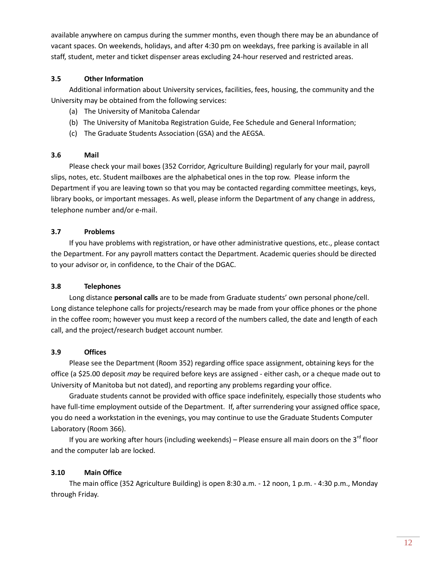available anywhere on campus during the summer months, even though there may be an abundance of vacant spaces. On weekends, holidays, and after 4:30 pm on weekdays, free parking is available in all staff, student, meter and ticket dispenser areas excluding 24-hour reserved and restricted areas.

#### **3.5 Other Information**

Additional information about University services, facilities, fees, housing, the community and the University may be obtained from the following services:

- (a) The University of Manitoba Calendar
- (b) The University of Manitoba Registration Guide, Fee Schedule and General Information;
- (c) The Graduate Students Association (GSA) and the AEGSA.

#### **3.6 Mail**

Please check your mail boxes (352 Corridor, Agriculture Building) regularly for your mail, payroll slips, notes, etc. Student mailboxes are the alphabetical ones in the top row. Please inform the Department if you are leaving town so that you may be contacted regarding committee meetings, keys, library books, or important messages. As well, please inform the Department of any change in address, telephone number and/or e-mail.

### **3.7 Problems**

If you have problems with registration, or have other administrative questions, etc., please contact the Department. For any payroll matters contact the Department. Academic queries should be directed to your advisor or, in confidence, to the Chair of the DGAC.

#### **3.8 Telephones**

Long distance **personal calls** are to be made from Graduate students' own personal phone/cell. Long distance telephone calls for projects/research may be made from your office phones or the phone in the coffee room; however you must keep a record of the numbers called, the date and length of each call, and the project/research budget account number.

### **3.9 Offices**

Please see the Department (Room 352) regarding office space assignment, obtaining keys for the office (a \$25.00 deposit *may* be required before keys are assigned - either cash, or a cheque made out to University of Manitoba but not dated), and reporting any problems regarding your office.

Graduate students cannot be provided with office space indefinitely, especially those students who have full-time employment outside of the Department. If, after surrendering your assigned office space, you do need a workstation in the evenings, you may continue to use the Graduate Students Computer Laboratory (Room 366).

If you are working after hours (including weekends) – Please ensure all main doors on the 3<sup>rd</sup> floor and the computer lab are locked.

### **3.10 Main Office**

The main office (352 Agriculture Building) is open 8:30 a.m. - 12 noon, 1 p.m. - 4:30 p.m., Monday through Friday.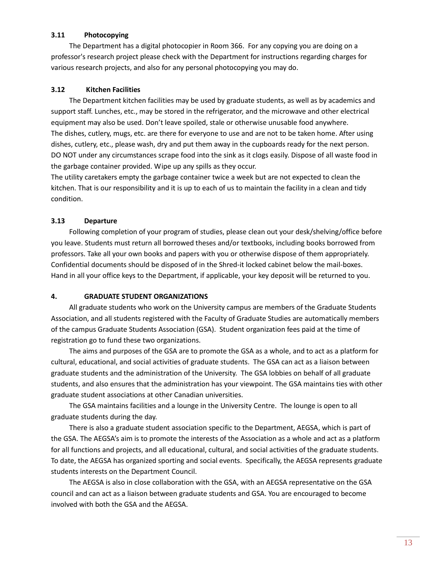#### **3.11 Photocopying**

The Department has a digital photocopier in Room 366. For any copying you are doing on a professor's research project please check with the Department for instructions regarding charges for various research projects, and also for any personal photocopying you may do.

#### **3.12 Kitchen Facilities**

The Department kitchen facilities may be used by graduate students, as well as by academics and support staff. Lunches, etc., may be stored in the refrigerator, and the microwave and other electrical equipment may also be used. Don't leave spoiled, stale or otherwise unusable food anywhere. The dishes, cutlery, mugs, etc. are there for everyone to use and are not to be taken home. After using dishes, cutlery, etc., please wash, dry and put them away in the cupboards ready for the next person. DO NOT under any circumstances scrape food into the sink as it clogs easily. Dispose of all waste food in the garbage container provided. Wipe up any spills as they occur.

The utility caretakers empty the garbage container twice a week but are not expected to clean the kitchen. That is our responsibility and it is up to each of us to maintain the facility in a clean and tidy condition.

#### **3.13 Departure**

Following completion of your program of studies, please clean out your desk/shelving/office before you leave. Students must return all borrowed theses and/or textbooks, including books borrowed from professors. Take all your own books and papers with you or otherwise dispose of them appropriately. Confidential documents should be disposed of in the Shred-it locked cabinet below the mail-boxes. Hand in all your office keys to the Department, if applicable, your key deposit will be returned to you.

#### **4. GRADUATE STUDENT ORGANIZATIONS**

All graduate students who work on the University campus are members of the Graduate Students Association, and all students registered with the Faculty of Graduate Studies are automatically members of the campus Graduate Students Association (GSA). Student organization fees paid at the time of registration go to fund these two organizations.

The aims and purposes of the GSA are to promote the GSA as a whole, and to act as a platform for cultural, educational, and social activities of graduate students. The GSA can act as a liaison between graduate students and the administration of the University. The GSA lobbies on behalf of all graduate students, and also ensures that the administration has your viewpoint. The GSA maintains ties with other graduate student associations at other Canadian universities.

The GSA maintains facilities and a lounge in the University Centre. The lounge is open to all graduate students during the day.

There is also a graduate student association specific to the Department, AEGSA, which is part of the GSA. The AEGSA's aim is to promote the interests of the Association as a whole and act as a platform for all functions and projects, and all educational, cultural, and social activities of the graduate students. To date, the AEGSA has organized sporting and social events. Specifically, the AEGSA represents graduate students interests on the Department Council.

The AEGSA is also in close collaboration with the GSA, with an AEGSA representative on the GSA council and can act as a liaison between graduate students and GSA. You are encouraged to become involved with both the GSA and the AEGSA.